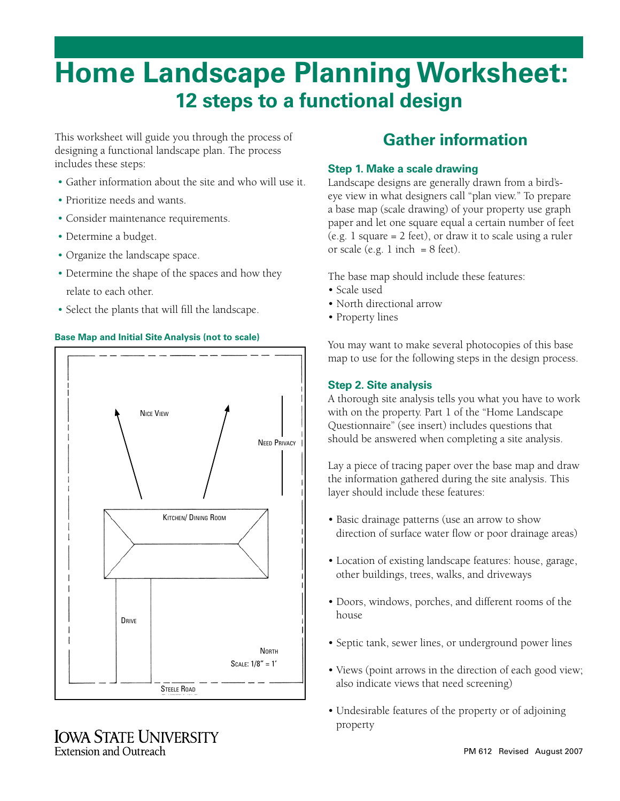# **Home Landscape Planning Worksheet: 12 steps to a functional design**

This worksheet will guide you through the process of designing a functional landscape plan. The process includes these steps:

- Gather information about the site and who will use it.
- Prioritize needs and wants.
- Consider maintenance requirements.
- Determine a budget.
- Organize the landscape space.
- Determine the shape of the spaces and how they relate to each other.
- Select the plants that will fill the landscape.





### **IOWA STATE UNIVERSITY** Extension and Outreach

## **Gather information**

#### **Step 1. Make a scale drawing**

Landscape designs are generally drawn from a bird'seye view in what designers call "plan view." To prepare a base map (scale drawing) of your property use graph paper and let one square equal a certain number of feet (e.g. 1 square = 2 feet), or draw it to scale using a ruler or scale (e.g. 1 inch  $= 8$  feet).

The base map should include these features:

- Scale used
- North directional arrow
- Property lines

You may want to make several photocopies of this base map to use for the following steps in the design process.

#### **Step 2. Site analysis**

A thorough site analysis tells you what you have to work with on the property. Part 1 of the "Home Landscape Questionnaire" (see insert) includes questions that should be answered when completing a site analysis.

Lay a piece of tracing paper over the base map and draw the information gathered during the site analysis. This layer should include these features:

- Basic drainage patterns (use an arrow to show direction of surface water flow or poor drainage areas)
- Location of existing landscape features: house, garage, other buildings, trees, walks, and driveways
- Doors, windows, porches, and different rooms of the house
- Septic tank, sewer lines, or underground power lines
- Views (point arrows in the direction of each good view; also indicate views that need screening)
- Undesirable features of the property or of adjoining property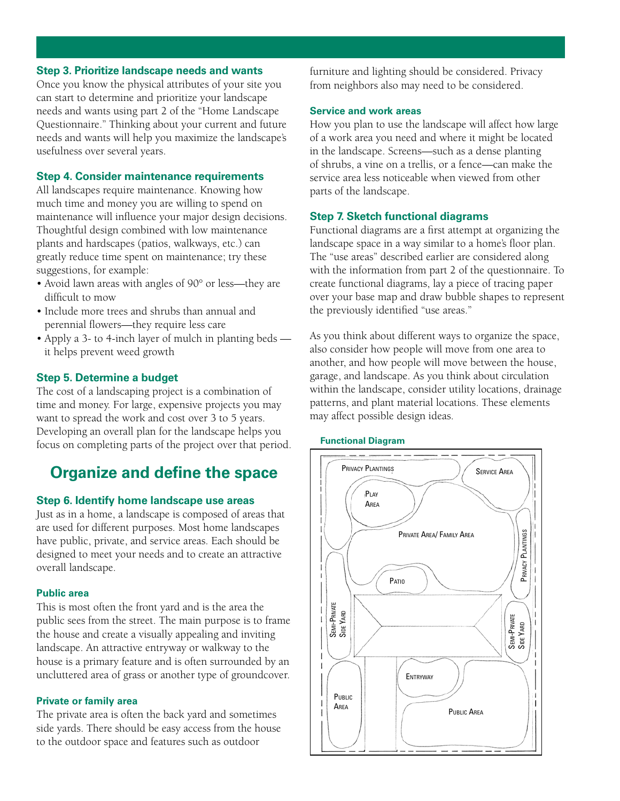#### **Step 3. Prioritize landscape needs and wants**

Once you know the physical attributes of your site you can start to determine and prioritize your landscape needs and wants using part 2 of the "Home Landscape Questionnaire." Thinking about your current and future needs and wants will help you maximize the landscape's usefulness over several years.

#### **Step 4. Consider maintenance requirements**

All landscapes require maintenance. Knowing how much time and money you are willing to spend on maintenance will influence your major design decisions. Thoughtful design combined with low maintenance plants and hardscapes (patios, walkways, etc.) can greatly reduce time spent on maintenance; try these suggestions, for example:

- Avoid lawn areas with angles of 90° or less—they are difficult to mow
- Include more trees and shrubs than annual and perennial flowers—they require less care
- Apply a 3- to 4-inch layer of mulch in planting beds it helps prevent weed growth

#### **Step 5. Determine a budget**

The cost of a landscaping project is a combination of time and money. For large, expensive projects you may want to spread the work and cost over 3 to 5 years. Developing an overall plan for the landscape helps you focus on completing parts of the project over that period.

### **Organize and define the space**

#### **Step 6. Identify home landscape use areas**

Just as in a home, a landscape is composed of areas that are used for different purposes. Most home landscapes have public, private, and service areas. Each should be designed to meet your needs and to create an attractive overall landscape.

#### **Public area**

This is most often the front yard and is the area the public sees from the street. The main purpose is to frame the house and create a visually appealing and inviting landscape. An attractive entryway or walkway to the house is a primary feature and is often surrounded by an uncluttered area of grass or another type of groundcover.

#### **Private or family area**

The private area is often the back yard and sometimes side yards. There should be easy access from the house to the outdoor space and features such as outdoor

furniture and lighting should be considered. Privacy from neighbors also may need to be considered.

#### **Service and work areas**

How you plan to use the landscape will affect how large of a work area you need and where it might be located in the landscape. Screens—such as a dense planting of shrubs, a vine on a trellis, or a fence—can make the service area less noticeable when viewed from other parts of the landscape.

#### **Step 7. Sketch functional diagrams**

Functional diagrams are a first attempt at organizing the landscape space in a way similar to a home's floor plan. The "use areas" described earlier are considered along with the information from part 2 of the questionnaire. To create functional diagrams, lay a piece of tracing paper over your base map and draw bubble shapes to represent the previously identified "use areas."

As you think about different ways to organize the space, also consider how people will move from one area to another, and how people will move between the house, garage, and landscape. As you think about circulation within the landscape, consider utility locations, drainage patterns, and plant material locations. These elements may affect possible design ideas.

#### **Functional Diagram**

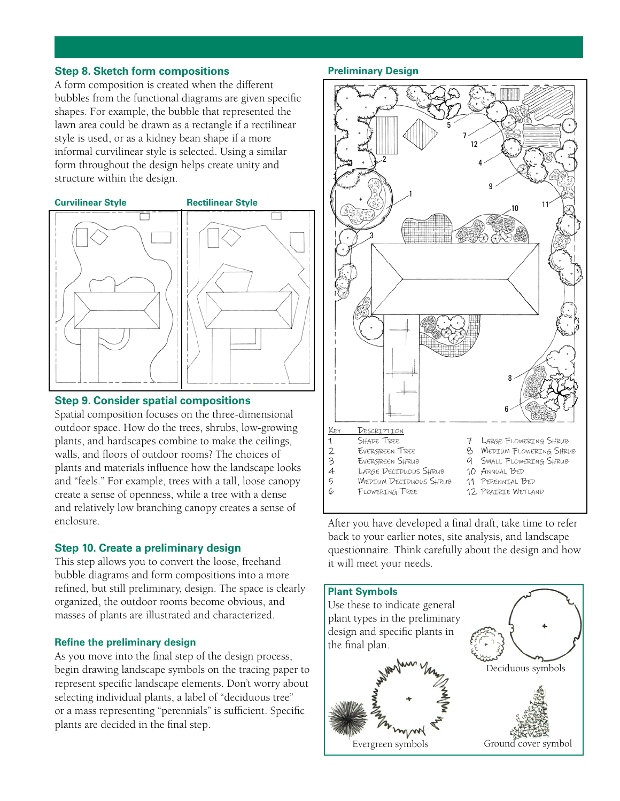#### **Step 8. Sketch form compositions**

A form composition is created when the different bubbles from the functional diagrams are given specific shapes. For example, the bubble that represented the lawn area could be drawn as a rectangle if a rectilinear style is used, or as a kidney bean shape if a more informal curvilinear style is selected. Using a similar form throughout the design helps create unity and structure within the design.



#### **Step 9. Consider spatial compositions**

Spatial composition focuses on the three-dimensional outdoor space. How do the trees, shrubs, low-growing plants, and hardscapes combine to make the ceilings, walls, and floors of outdoor rooms? The choices of plants and materials influence how the landscape looks and "feels." For example, trees with a tall, loose canopy create a sense of openness, while a tree with a dense and relatively low branching canopy creates a sense of enclosure.

#### **Step 10. Create a preliminary design**

This step allows you to convert the loose, freehand bubble diagrams and form compositions into a more refined, but still preliminary, design. The space is clearly organized, the outdoor rooms become obvious, and masses of plants are illustrated and characterized.

#### **Refine the preliminary design**

As you move into the final step of the design process, begin drawing landscape symbols on the tracing paper to represent specific landscape elements. Don't worry about selecting individual plants, a label of "deciduous tree" or a mass representing "perennials" is sufficient. Specific plants are decided in the final step.

#### **Preliminary Design**



After you have developed a final draft, take time to refer back to your earlier notes, site analysis, and landscape questionnaire. Think carefully about the design and how it will meet your needs.

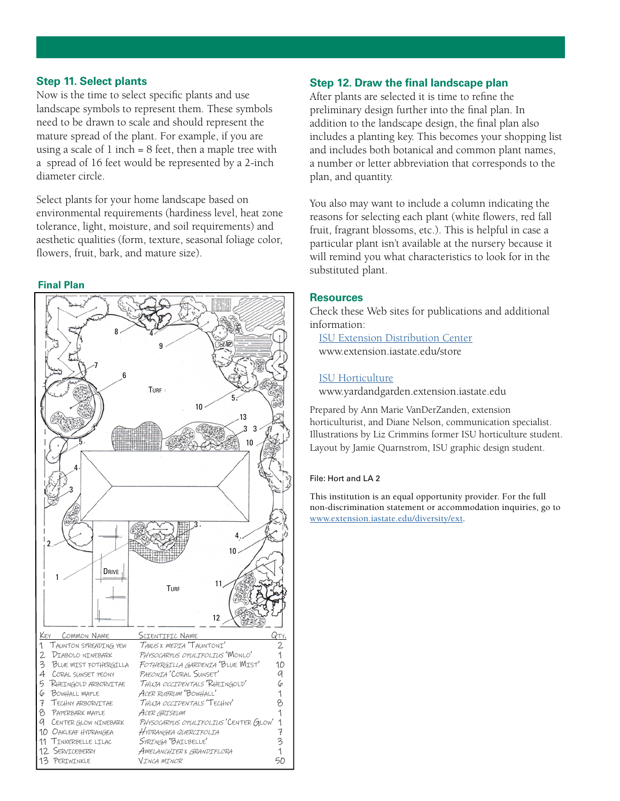#### **Step 11. Select plants**

Now is the time to select specific plants and use landscape symbols to represent them. These symbols need to be drawn to scale and should represent the mature spread of the plant. For example, if you are using a scale of  $1$  inch  $= 8$  feet, then a maple tree with a spread of 16 feet would be represented by a 2-inch diameter circle.

Select plants for your home landscape based on environmental requirements (hardiness level, heat zone tolerance, light, moisture, and soil requirements) and aesthetic qualities (form, texture, seasonal foliage color, flowers, fruit, bark, and mature size).

#### **Final Plan**



#### **Step 12. Draw the final landscape plan**

After plants are selected it is time to refine the preliminary design further into the final plan. In addition to the landscape design, the final plan also includes a planting key. This becomes your shopping list and includes both botanical and common plant names, a number or letter abbreviation that corresponds to the plan, and quantity.

You also may want to include a column indicating the reasons for selecting each plant (white flowers, red fall fruit, fragrant blossoms, etc.). This is helpful in case a particular plant isn't available at the nursery because it will remind you what characteristics to look for in the substituted plant.

#### **Resources**

Check these Web sites for publications and additional information:

[ISU Extension Distribution Center](www.extension.iastate.edu/store) www.extension.iastate.edu/store

#### [ISU Horticulture](www.yardandgarden.extension.iastate.edu)

www.yardandgarden.extension.iastate.edu

Prepared by Ann Marie VanDerZanden, extension horticulturist, and Diane Nelson, communication specialist. Illustrations by Liz Crimmins former ISU horticulture student. Layout by Jamie Quarnstrom, ISU graphic design student.

#### File: Hort and LA 2

This institution is an equal opportunity provider. For the full non-discrimination statement or accommodation inquiries, go to <www.extension.iastate.edu/diversity/ext>.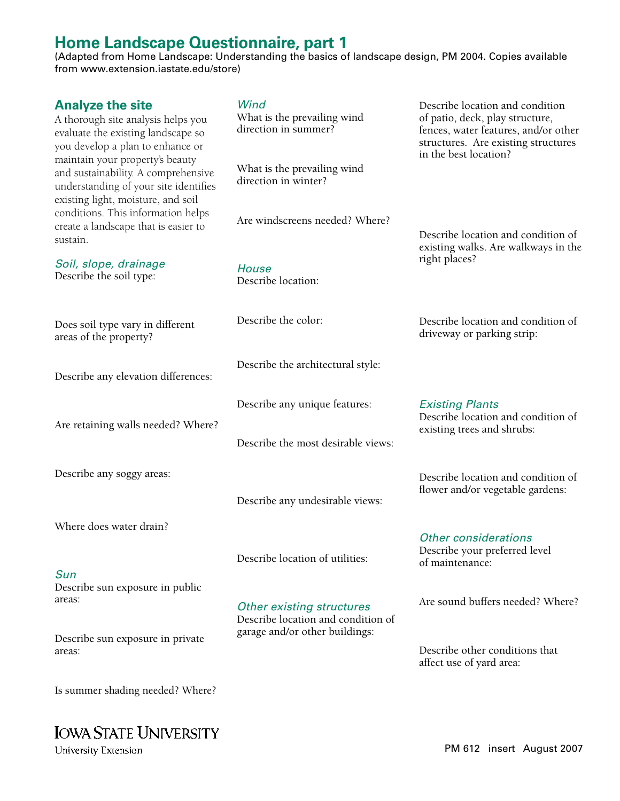## **Home Landscape Questionnaire, part 1**

(Adapted from Home Landscape: Understanding the basics of landscape design, PM 2004. Copies available from www.extension.iastate.edu/store)

| <b>Analyze the site</b><br>A thorough site analysis helps you<br>evaluate the existing landscape so<br>you develop a plan to enhance or               | Wind<br>What is the prevailing wind<br>direction in summer?                                              | Describe location and condition<br>of patio, deck, play structure,<br>fences, water features, and/or other<br>structures. Are existing structures<br>in the best location? |  |  |  |  |  |
|-------------------------------------------------------------------------------------------------------------------------------------------------------|----------------------------------------------------------------------------------------------------------|----------------------------------------------------------------------------------------------------------------------------------------------------------------------------|--|--|--|--|--|
| maintain your property's beauty<br>and sustainability. A comprehensive<br>understanding of your site identifies<br>existing light, moisture, and soil | What is the prevailing wind<br>direction in winter?                                                      |                                                                                                                                                                            |  |  |  |  |  |
| conditions. This information helps<br>create a landscape that is easier to<br>sustain.                                                                | Are windscreens needed? Where?                                                                           | Describe location and condition of<br>existing walks. Are walkways in the                                                                                                  |  |  |  |  |  |
| Soil, slope, drainage<br>Describe the soil type:                                                                                                      | <b>House</b><br>Describe location:                                                                       | right places?                                                                                                                                                              |  |  |  |  |  |
| Does soil type vary in different<br>areas of the property?                                                                                            | Describe the color:                                                                                      | Describe location and condition of<br>driveway or parking strip:                                                                                                           |  |  |  |  |  |
| Describe any elevation differences:                                                                                                                   | Describe the architectural style:                                                                        |                                                                                                                                                                            |  |  |  |  |  |
| Are retaining walls needed? Where?                                                                                                                    | Describe any unique features:                                                                            | <b>Existing Plants</b><br>Describe location and condition of<br>existing trees and shrubs:                                                                                 |  |  |  |  |  |
|                                                                                                                                                       | Describe the most desirable views:                                                                       |                                                                                                                                                                            |  |  |  |  |  |
| Describe any soggy areas:                                                                                                                             | Describe any undesirable views:                                                                          | Describe location and condition of<br>flower and/or vegetable gardens:                                                                                                     |  |  |  |  |  |
| Where does water drain?                                                                                                                               |                                                                                                          | <b>Other considerations</b><br>Describe your preferred level                                                                                                               |  |  |  |  |  |
| Sun                                                                                                                                                   | Describe location of utilities:                                                                          | of maintenance:                                                                                                                                                            |  |  |  |  |  |
| Describe sun exposure in public<br>areas:                                                                                                             | <b>Other existing structures</b><br>Describe location and condition of<br>garage and/or other buildings: | Are sound buffers needed? Where?                                                                                                                                           |  |  |  |  |  |
| Describe sun exposure in private<br>areas:                                                                                                            |                                                                                                          | Describe other conditions that<br>affect use of yard area:                                                                                                                 |  |  |  |  |  |
| Is summer shading needed? Where?                                                                                                                      |                                                                                                          |                                                                                                                                                                            |  |  |  |  |  |

University Extension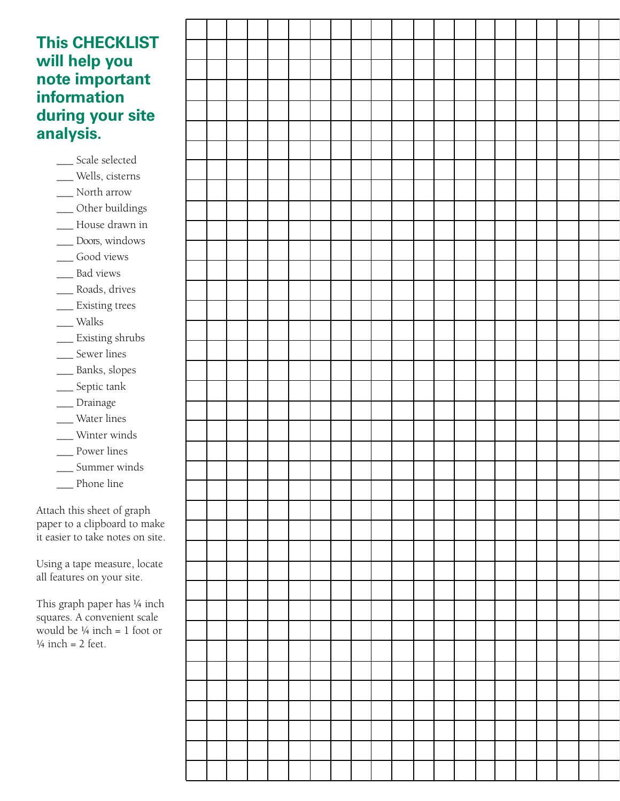### **This CHECKLIST will help you note important information during your site analysis.**

\_\_\_ Scale selected \_\_\_ Wells, cisterns \_\_\_ North arrow \_\_\_ Other buildings \_\_\_ House drawn in \_\_\_ Doors, windows \_\_\_ Good views \_\_\_ Bad views \_\_\_ Roads, drives \_\_\_ Existing trees \_\_\_ Walks \_\_\_ Existing shrubs \_\_\_ Sewer lines \_\_\_ Banks, slopes \_\_\_ Septic tank \_\_\_ Drainage \_\_\_ Water lines \_\_\_ Winter winds \_\_\_ Power lines \_\_\_ Summer winds \_\_\_ Phone line

Attach this sheet of graph paper to a clipboard to make it easier to take notes on site.

Using a tape measure, locate all features on your site.

This graph paper has  $\frac{1}{4}$  inch squares. A convenient scale would be  $\frac{1}{4}$  inch = 1 foot or  $\frac{1}{4}$  inch = 2 feet.